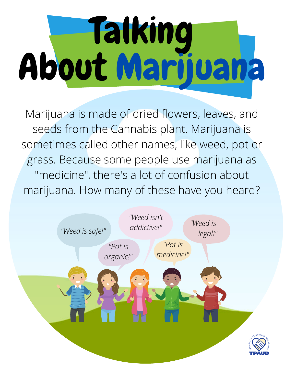# Talking About Marijuana

Marijuana is made of dried flowers, leaves, and seeds from the Cannabis plant. Marijuana is sometimes called other names, like weed, pot or grass. Because some people use marijuana as "medicine", there's a lot of confusion about marijuana. How many of these have you heard?

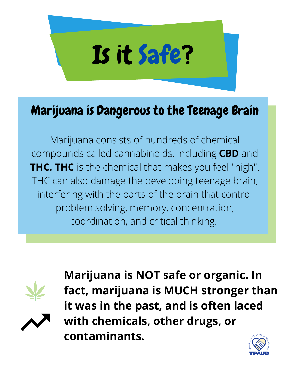

#### Marijuana is Dangerous to the Teenage Brain

Marijuana consists of hundreds of chemical compounds called cannabinoids, including **CBD** and **THC. THC** is the chemical that makes you feel "high". THC can also damage the developing teenage brain, interfering with the parts of the brain that control problem solving, memory, concentration, coordination, and critical thinking.





**Marijuana is NOT safe or organic. In fact, marijuana is MUCH stronger than it was in the past, and is often laced with chemicals, other drugs, or contaminants.**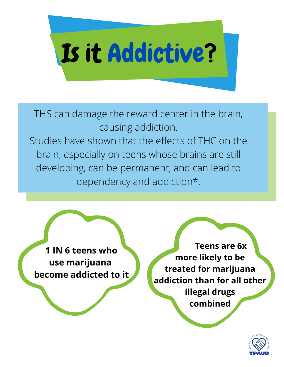

THS can damage the reward center in the brain, causing addiction. Studies have shown that the effects of THC on the brain, especially on teens whose brains are still developing, can be permanent, and can lead to dependency and addiction\*.

**1 IN 6 teens who use marijuana become addicted to it**

**Teens are 6x more likely to be treated for marijuana addiction than for all other illegal drugs combined**

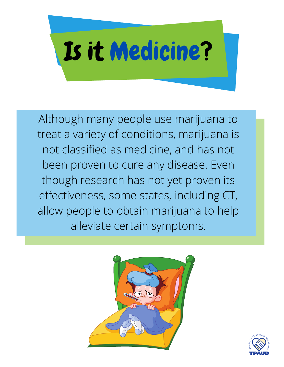

Although many people use marijuana to treat a variety of conditions, marijuana is not classified as medicine, and has not been proven to cure any disease. Even though research has not yet proven its effectiveness, some states, including CT, allow people to obtain marijuana to help alleviate certain symptoms.



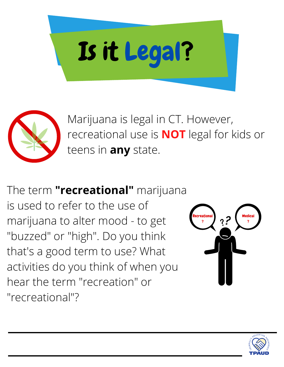



Marijuana is legal in CT. However, recreational use is **NOT** legal for kids or teens in **any** state.

The term **"recreational"** marijuana is used to refer to the use of marijuana to alter mood - to get "buzzed" or "high". Do you think that's a good term to use? What activities do you think of when you hear the term "recreation" or "recreational"?



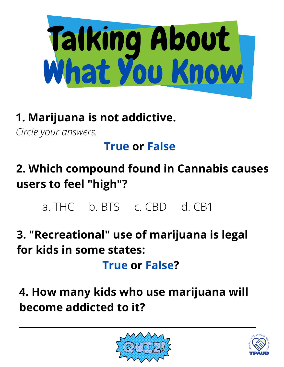

## **1. Marijuana is not addictive.**

*Circle your answers.*

### **True or False**

- **2. Which compound found in Cannabis causes users to feel "high"?**
	- a. THC b. BTS c. CBD d. CB1
- **3. "Recreational" use of marijuana is legal for kids in some states:**

**True or False?**

**4. How many kids who use marijuana will become addicted to it?**